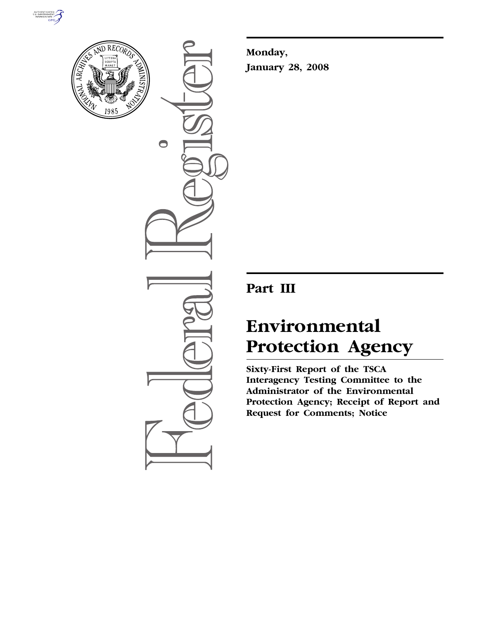



 $\bigcirc$ 

**Monday, January 28, 2008** 

# **Part III**

# **Environmental Protection Agency**

**Sixty-First Report of the TSCA Interagency Testing Committee to the Administrator of the Environmental Protection Agency; Receipt of Report and Request for Comments; Notice**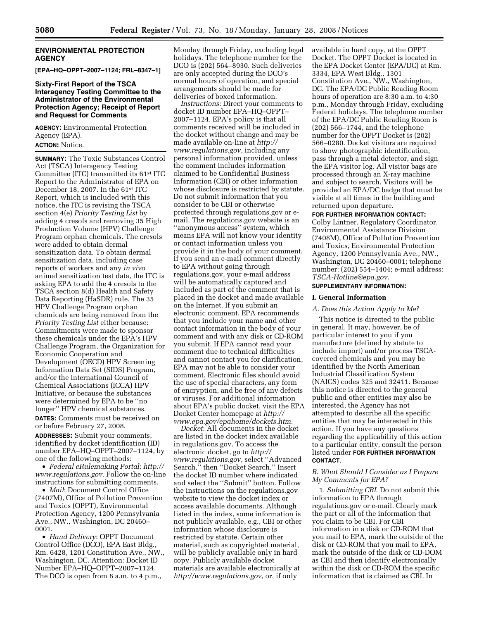#### **ENVIRONMENTAL PROTECTION AGENCY**

**[EPA–HQ–OPPT–2007–1124; FRL–8347–1]** 

# **Sixty-First Report of the TSCA Interagency Testing Committee to the Administrator of the Environmental Protection Agency; Receipt of Report and Request for Comments**

**AGENCY:** Environmental Protection Agency (EPA). **ACTION:** Notice.

**SUMMARY:** The Toxic Substances Control Act (TSCA) Interagency Testing Committee (ITC) transmitted its 61st ITC Report to the Administrator of EPA on December 18, 2007. In the 61st ITC Report, which is included with this notice, the ITC is revising the TSCA section 4(e) *Priority Testing List* by adding 4 cresols and removing 35 High Production Volume (HPV) Challenge Program orphan chemicals. The cresols were added to obtain dermal sensitization data. To obtain dermal sensitization data, including case reports of workers and any *in vivo*  animal sensitization test data, the ITC is asking EPA to add the 4 cresols to the TSCA section 8(d) Health and Safety Data Reporting (HaSDR) rule. The 35 HPV Challenge Program orphan chemicals are being removed from the *Priority Testing List* either because: Commitments were made to sponsor these chemicals under the EPA's HPV Challenge Program, the Organization for Economic Cooperation and Development (OECD) HPV Screening Information Data Set (SIDS) Program, and/or the International Council of Chemical Associations (ICCA) HPV Initiative, or because the substances were determined by EPA to be ''no longer'' HPV chemical substances. **DATES:** Comments must be received on

or before February 27, 2008.

**ADDRESSES:** Submit your comments, identified by docket identification (ID) number EPA–HQ–OPPT–2007–1124, by one of the following methods:

• *Federal eRulemaking Portal*: *http:// www.regulations.gov*. Follow the on-line instructions for submitting comments.

• *Mail*: Document Control Office (7407M), Office of Pollution Prevention and Toxics (OPPT), Environmental Protection Agency, 1200 Pennsylvania Ave., NW., Washington, DC 20460– 0001.

• *Hand Delivery*: OPPT Document Control Office (DCO), EPA East Bldg., Rm. 6428, 1201 Constitution Ave., NW., Washington, DC. Attention: Docket ID Number EPA–HQ–OPPT–2007–1124. The DCO is open from 8 a.m. to 4 p.m.,

Monday through Friday, excluding legal holidays. The telephone number for the DCO is (202) 564–8930. Such deliveries are only accepted during the DCO's normal hours of operation, and special arrangements should be made for deliveries of boxed information.

*Instructions*: Direct your comments to docket ID number EPA–HQ–OPPT– 2007–1124. EPA's policy is that all comments received will be included in the docket without change and may be made available on-line at *http:// www.regulations.gov*, including any personal information provided, unless the comment includes information claimed to be Confidential Business Information (CBI) or other information whose disclosure is restricted by statute. Do not submit information that you consider to be CBI or otherwise protected through regulations.gov or email. The regulations.gov website is an ''anonymous access'' system, which means EPA will not know your identity or contact information unless you provide it in the body of your comment. If you send an e-mail comment directly to EPA without going through regulations.gov, your e-mail address will be automatically captured and included as part of the comment that is placed in the docket and made available on the Internet. If you submit an electronic comment, EPA recommends that you include your name and other contact information in the body of your comment and with any disk or CD-ROM you submit. If EPA cannot read your comment due to technical difficulties and cannot contact you for clarification, EPA may not be able to consider your comment. Electronic files should avoid the use of special characters, any form of encryption, and be free of any defects or viruses. For additional information about EPA's public docket, visit the EPA Docket Center homepage at *http:// www.epa.gov/epahome/dockets.htm*.

*Docket*: All documents in the docket are listed in the docket index available in regulations.gov. To access the electronic docket, go to *http:// www.regulations.gov*, select ''Advanced Search,'' then ''Docket Search.'' Insert the docket ID number where indicated and select the ''Submit'' button. Follow the instructions on the regulations.gov website to view the docket index or access available documents. Although listed in the index, some information is not publicly available, e.g., CBI or other information whose disclosure is restricted by statute. Certain other material, such as copyrighted material, will be publicly available only in hard copy. Publicly available docket materials are available electronically at *http://www.regulations.gov*, or, if only

available in hard copy, at the OPPT Docket. The OPPT Docket is located in the EPA Docket Center (EPA/DC) at Rm. 3334, EPA West Bldg., 1301 Constitution Ave., NW., Washington, DC. The EPA/DC Public Reading Room hours of operation are 8:30 a.m. to 4:30 p.m., Monday through Friday, excluding Federal holidays. The telephone number of the EPA/DC Public Reading Room is (202) 566–1744, and the telephone number for the OPPT Docket is (202) 566–0280. Docket visitors are required to show photographic identification, pass through a metal detector, and sign the EPA visitor log. All visitor bags are processed through an X-ray machine and subject to search. Visitors will be provided an EPA/DC badge that must be visible at all times in the building and returned upon departure.

#### **FOR FURTHER INFORMATION CONTACT:**

Colby Lintner, Regulatory Coordinator, Environmental Assistance Division (7408M), Office of Pollution Prevention and Toxics, Environmental Protection Agency, 1200 Pennsylvania Ave., NW., Washington, DC 20460–0001; telephone number: (202) 554–1404; e-mail address: *TSCA-Hotline@epa.gov*.

# **SUPPLEMENTARY INFORMATION:**

#### **I. General Information**

#### *A. Does this Action Apply to Me?*

This notice is directed to the public in general. It may, however, be of particular interest to you if you manufacture (defined by statute to include import) and/or process TSCAcovered chemicals and you may be identified by the North American Industrial Classification System (NAICS) codes 325 and 32411. Because this notice is directed to the general public and other entities may also be interested, the Agency has not attempted to describe all the specific entities that may be interested in this action. If you have any questions regarding the applicability of this action to a particular entity, consult the person listed under **FOR FURTHER INFORMATION CONTACT**.

#### *B. What Should I Consider as I Prepare My Comments for EPA?*

1. *Submitting CBI*. Do not submit this information to EPA through regulations.gov or e-mail. Clearly mark the part or all of the information that you claim to be CBI. For CBI information in a disk or CD-ROM that you mail to EPA, mark the outside of the disk or CD-ROM that you mail to EPA, mark the outside of the disk or CD-DOM as CBI and then identify electronically within the disk or CD-ROM the specific information that is claimed as CBI. In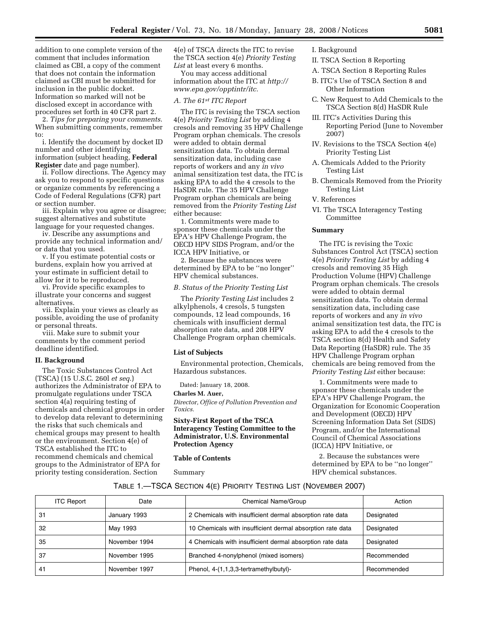addition to one complete version of the comment that includes information claimed as CBI, a copy of the comment that does not contain the information claimed as CBI must be submitted for inclusion in the public docket. Information so marked will not be disclosed except in accordance with procedures set forth in 40 CFR part 2.

2. *Tips for preparing your comments*. When submitting comments, remember to:

i. Identify the document by docket ID number and other identifying information (subject heading, **Federal Register** date and page number).

ii. Follow directions. The Agency may ask you to respond to specific questions or organize comments by referencing a Code of Federal Regulations (CFR) part or section number.

iii. Explain why you agree or disagree; suggest alternatives and substitute language for your requested changes.

iv. Describe any assumptions and provide any technical information and/ or data that you used.

v. If you estimate potential costs or burdens, explain how you arrived at your estimate in sufficient detail to allow for it to be reproduced.

vi. Provide specific examples to illustrate your concerns and suggest alternatives.

vii. Explain your views as clearly as possible, avoiding the use of profanity or personal threats.

viii. Make sure to submit your comments by the comment period deadline identified.

#### **II. Background**

The Toxic Substances Control Act (TSCA) (15 U.S.C. 260l *et seq*.) authorizes the Administrator of EPA to promulgate regulations under TSCA section 4(a) requiring testing of chemicals and chemical groups in order to develop data relevant to determining the risks that such chemicals and chemical groups may present to health or the environment. Section 4(e) of TSCA established the ITC to recommend chemicals and chemical groups to the Administrator of EPA for priority testing consideration. Section

4(e) of TSCA directs the ITC to revise the TSCA section 4(e) *Priority Testing*  List at least every 6 months.

You may access additional information about the ITC at *http:// www.epa.gov/opptintr/itc.* 

#### *A. The 61st ITC Report*

The ITC is revising the TSCA section 4(e) *Priority Testing List* by adding 4 cresols and removing 35 HPV Challenge Program orphan chemicals. The cresols were added to obtain dermal sensitization data. To obtain dermal sensitization data, including case reports of workers and any *in vivo*  animal sensitization test data, the ITC is asking EPA to add the 4 cresols to the HaSDR rule. The 35 HPV Challenge Program orphan chemicals are being removed from the *Priority Testing List*  either because:

1. Commitments were made to sponsor these chemicals under the EPA's HPV Challenge Program, the OECD HPV SIDS Program, and/or the ICCA HPV Initiative, or

2. Because the substances were determined by EPA to be ''no longer'' HPV chemical substances.

# *B. Status of the Priority Testing List*

The *Priority Testing List* includes 2 alkylphenols, 4 cresols, 5 tungsten compounds, 12 lead compounds, 16 chemicals with insufficient dermal absorption rate data, and 208 HPV Challenge Program orphan chemicals.

#### **List of Subjects**

Environmental protection, Chemicals, Hazardous substances.

Dated: January 18, 2008.

#### **Charles M. Auer,**

*Director, Office of Pollution Prevention and Toxics.* 

**Sixty-First Report of the TSCA Interagency Testing Committee to the Administrator, U.S. Environmental Protection Agency** 

#### **Table of Contents**

Summary

I. Background

- II. TSCA Section 8 Reporting
- A. TSCA Section 8 Reporting Rules
- B. ITC's Use of TSCA Section 8 and Other Information
- C. New Request to Add Chemicals to the TSCA Section 8(d) HaSDR Rule
- III. ITC's Activities During this Reporting Period (June to November 2007)
- IV. Revisions to the TSCA Section 4(e) Priority Testing List
- A. Chemicals Added to the Priority Testing List
- B. Chemicals Removed from the Priority Testing List
- V. References
- VI. The TSCA Interagency Testing Committee

#### **Summary**

The ITC is revising the Toxic Substances Control Act (TSCA) section 4(e) *Priority Testing List* by adding 4 cresols and removing 35 High Production Volume (HPV) Challenge Program orphan chemicals. The cresols were added to obtain dermal sensitization data. To obtain dermal sensitization data, including case reports of workers and any *in vivo*  animal sensitization test data, the ITC is asking EPA to add the 4 cresols to the TSCA section 8(d) Health and Safety Data Reporting (HaSDR) rule. The 35 HPV Challenge Program orphan chemicals are being removed from the *Priority Testing List* either because:

1. Commitments were made to sponsor these chemicals under the EPA's HPV Challenge Program, the Organization for Economic Cooperation and Development (OECD) HPV Screening Information Data Set (SIDS) Program, and/or the International Council of Chemical Associations (ICCA) HPV Initiative, or

2. Because the substances were determined by EPA to be ''no longer'' HPV chemical substances.

# TABLE 1.—TSCA SECTION 4(E) PRIORITY TESTING LIST (NOVEMBER 2007)

| <b>ITC Report</b> | Date          | Chemical Name/Group                                        | Action      |
|-------------------|---------------|------------------------------------------------------------|-------------|
| 31                | January 1993  | 2 Chemicals with insufficient dermal absorption rate data  | Designated  |
| 32                | May 1993      | 10 Chemicals with insufficient dermal absorption rate data | Designated  |
| 35                | November 1994 | 4 Chemicals with insufficient dermal absorption rate data  | Designated  |
| 37                | November 1995 | Branched 4-nonylphenol (mixed isomers)                     | Recommended |
| 41                | November 1997 | Phenol, 4-(1,1,3,3-tertramethylbutyl)-                     | Recommended |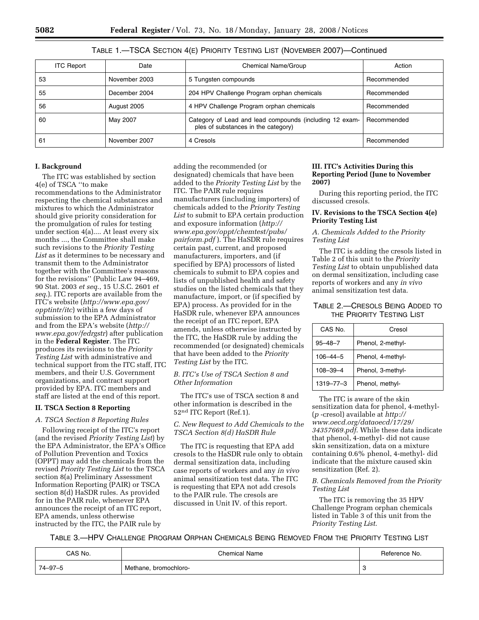| <b>ITC Report</b> | Date          | Chemical Name/Group                                                                            | Action      |
|-------------------|---------------|------------------------------------------------------------------------------------------------|-------------|
| 53                | November 2003 | 5 Tungsten compounds                                                                           | Recommended |
| 55                | December 2004 | 204 HPV Challenge Program orphan chemicals                                                     | Recommended |
| 56                | August 2005   | 4 HPV Challenge Program orphan chemicals                                                       | Recommended |
| 60                | May 2007      | Category of Lead and lead compounds (including 12 exam-<br>ples of substances in the category) | Recommended |
| 61                | November 2007 | 4 Cresols                                                                                      | Recommended |

TABLE 1.—TSCA SECTION 4(E) PRIORITY TESTING LIST (NOVEMBER 2007)—Continued

# **I. Background**

The ITC was established by section 4(e) of TSCA ''to make recommendations to the Administrator respecting the chemical substances and mixtures to which the Administrator should give priority consideration for the promulgation of rules for testing under section 4(a).... At least every six months ..., the Committee shall make such revisions to the *Priority Testing List* as it determines to be necessary and transmit them to the Administrator together with the Committee's reasons for the revisions'' (Public Law 94–469, 90 Stat. 2003 *et seq*., 15 U.S.C. 2601 *et seq*.). ITC reports are available from the ITC's website (*http://www.epa.gov/ opptintr/itc*) within a few days of submission to the EPA Administrator and from the EPA's website (*http:// www.epa.gov/fedrgstr*) after publication in the **Federal Register**. The ITC produces its revisions to the *Priority Testing List* with administrative and technical support from the ITC staff, ITC members, and their U.S. Government organizations, and contract support provided by EPA. ITC members and staff are listed at the end of this report.

# **II. TSCA Section 8 Reporting**

# *A. TSCA Section 8 Reporting Rules*

Following receipt of the ITC's report (and the revised *Priority Testing List*) by the EPA Administrator, the EPA's Office of Pollution Prevention and Toxics (OPPT) may add the chemicals from the revised *Priority Testing List* to the TSCA section 8(a) Preliminary Assessment Information Reporting (PAIR) or TSCA section 8(d) HaSDR rules. As provided for in the PAIR rule, whenever EPA announces the receipt of an ITC report, EPA amends, unless otherwise instructed by the ITC, the PAIR rule by

adding the recommended (or designated) chemicals that have been added to the *Priority Testing List* by the ITC. The PAIR rule requires manufacturers (including importers) of chemicals added to the *Priority Testing List* to submit to EPA certain production and exposure information (*http:// www.epa.gov/oppt/chemtest/pubs/ pairform.pdf* ). The HaSDR rule requires certain past, current, and proposed manufacturers, importers, and (if specified by EPA) processors of listed chemicals to submit to EPA copies and lists of unpublished health and safety studies on the listed chemicals that they manufacture, import, or (if specified by EPA) process. As provided for in the HaSDR rule, whenever EPA announces the receipt of an ITC report, EPA amends, unless otherwise instructed by the ITC, the HaSDR rule by adding the recommended (or designated) chemicals that have been added to the *Priority Testing List* by the ITC.

# *B. ITC's Use of TSCA Section 8 and Other Information*

The ITC's use of TSCA section 8 and other information is described in the 52nd ITC Report (Ref.1).

# *C. New Request to Add Chemicals to the TSCA Section 8(d) HaSDR Rule*

The ITC is requesting that EPA add cresols to the HaSDR rule only to obtain dermal sensitization data, including case reports of workers and any *in vivo*  animal sensitization test data. The ITC is requesting that EPA not add cresols to the PAIR rule. The cresols are discussed in Unit IV. of this report.

# **III. ITC's Activities During this Reporting Period (June to November 2007)**

During this reporting period, the ITC discussed cresols.

### **IV. Revisions to the TSCA Section 4(e) Priority Testing List**

# *A. Chemicals Added to the Priority Testing List*

The ITC is adding the cresols listed in Table 2 of this unit to the *Priority Testing List* to obtain unpublished data on dermal sensitization, including case reports of workers and any *in vivo*  animal sensitization test data.

TABLE 2.—CRESOLS BEING ADDED TO THE PRIORITY TESTING LIST

| CAS No.         | Cresol            |
|-----------------|-------------------|
| $95 - 48 - 7$   | Phenol, 2-methyl- |
| $106 - 44 - 5$  | Phenol, 4-methyl- |
| $108 - 39 - 4$  | Phenol, 3-methyl- |
| $1319 - 77 - 3$ | Phenol, methyl-   |

The ITC is aware of the skin sensitization data for phenol, 4-methyl- (*p* -cresol) available at *http:// www.oecd.org/dataoecd/17/29/ 34357669.pdf*. While these data indicate that phenol, 4-methyl- did not cause skin sensitization, data on a mixture containing 0.6% phenol, 4-methyl- did indicate that the mixture caused skin sensitization (Ref. 2).

# *B. Chemicals Removed from the Priority Testing List*

The ITC is removing the 35 HPV Challenge Program orphan chemicals listed in Table 3 of this unit from the *Priority Testing List*.

TABLE 3.—HPV CHALLENGE PROGRAM ORPHAN CHEMICALS BEING REMOVED FROM THE PRIORITY TESTING LIST

| CAS No. | Chemical Name         | Reference No. |
|---------|-----------------------|---------------|
| 74–97–5 | Methane, bromochloro- | ີ             |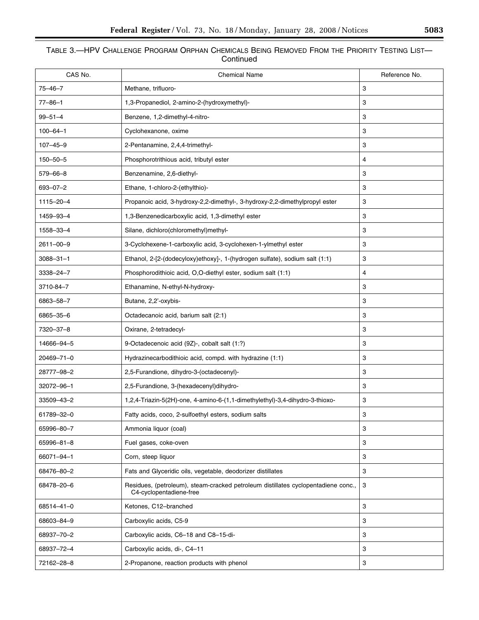# TABLE 3.—HPV CHALLENGE PROGRAM ORPHAN CHEMICALS BEING REMOVED FROM THE PRIORITY TESTING LIST— **Continued**

| CAS No.         | <b>Chemical Name</b>                                                                                         | Reference No.             |
|-----------------|--------------------------------------------------------------------------------------------------------------|---------------------------|
| $75 - 46 - 7$   | Methane, trifluoro-                                                                                          | 3                         |
| $77 - 86 - 1$   | 1,3-Propanediol, 2-amino-2-(hydroxymethyl)-                                                                  | 3                         |
| $99 - 51 - 4$   | Benzene, 1,2-dimethyl-4-nitro-                                                                               | 3                         |
| $100 - 64 - 1$  | Cyclohexanone, oxime                                                                                         | 3                         |
| $107 - 45 - 9$  | 2-Pentanamine, 2,4,4-trimethyl-                                                                              | 3                         |
| $150 - 50 - 5$  | Phosphorotrithious acid, tributyl ester                                                                      | 4                         |
| 579-66-8        | Benzenamine, 2,6-diethyl-                                                                                    | 3                         |
| 693-07-2        | Ethane, 1-chloro-2-(ethylthio)-                                                                              | 3                         |
| 1115-20-4       | Propanoic acid, 3-hydroxy-2,2-dimethyl-, 3-hydroxy-2,2-dimethylpropyl ester                                  | 3                         |
| 1459-93-4       | 1,3-Benzenedicarboxylic acid, 1,3-dimethyl ester                                                             | 3                         |
| 1558-33-4       | Silane, dichloro(chloromethyl)methyl-                                                                        | 3                         |
| 2611-00-9       | 3-Cyclohexene-1-carboxylic acid, 3-cyclohexen-1-ylmethyl ester                                               | 3                         |
| $3088 - 31 - 1$ | Ethanol, 2-[2-(dodecyloxy)ethoxy]-, 1-(hydrogen sulfate), sodium salt (1:1)                                  | 3                         |
| 3338-24-7       | Phosphorodithioic acid, O,O-diethyl ester, sodium salt (1:1)                                                 | 4                         |
| 3710-84-7       | Ethanamine, N-ethyl-N-hydroxy-                                                                               | 3                         |
| 6863-58-7       | Butane, 2,2'-oxybis-                                                                                         | 3                         |
| 6865-35-6       | Octadecanoic acid, barium salt (2:1)                                                                         | 3                         |
| 7320-37-8       | Oxirane, 2-tetradecyl-                                                                                       | 3                         |
| 14666-94-5      | 9-Octadecenoic acid (9Z)-, cobalt salt (1:?)                                                                 | 3                         |
| 20469-71-0      | Hydrazinecarbodithioic acid, compd. with hydrazine (1:1)                                                     | 3                         |
| 28777-98-2      | 2,5-Furandione, dihydro-3-(octadecenyl)-                                                                     | 3                         |
| 32072-96-1      | 2,5-Furandione, 3-(hexadecenyl)dihydro-                                                                      | 3                         |
| 33509-43-2      | 1,2,4-Triazin-5(2H)-one, 4-amino-6-(1,1-dimethylethyl)-3,4-dihydro-3-thioxo-                                 | 3                         |
| 61789-32-0      | Fatty acids, coco, 2-sulfoethyl esters, sodium salts                                                         | 3                         |
| 65996-80-7      | Ammonia liquor (coal)                                                                                        | 3                         |
| 65996-81-8      | Fuel gases, coke-oven                                                                                        | 3                         |
| 66071-94-1      | Corn, steep liquor                                                                                           | 3                         |
| 68476-80-2      | Fats and Glyceridic oils, vegetable, deodorizer distillates                                                  | 3                         |
| 68478-20-6      | Residues, (petroleum), steam-cracked petroleum distillates cyclopentadiene conc.,<br>C4-cyclopentadiene-free | $\ensuremath{\mathsf{3}}$ |
| 68514-41-0      | Ketones, C12-branched                                                                                        | 3                         |
| 68603-84-9      | Carboxylic acids, C5-9                                                                                       | 3                         |
| 68937-70-2      | Carboxylic acids, C6-18 and C8-15-di-                                                                        | 3                         |
| 68937-72-4      | Carboxylic acids, di-, C4-11                                                                                 | 3                         |
| 72162-28-8      | 2-Propanone, reaction products with phenol                                                                   | 3                         |